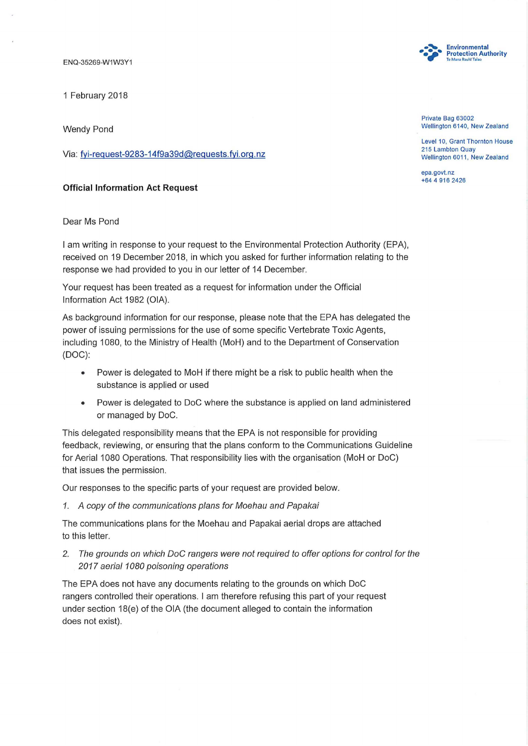ENQ-35269-W1W3Y1

1 February 2018

Wendy Pond

Via: fyi-request-9283-14f9a39d@requests.fyi.org.nz

## Official Information Act Request

Dear Ms Pond

I am writing in response to your request to the Environmental Protection Authority (EPA), received on 19 December 2018, in which you asked for further information relating to the response we had provided to you in our letter of 14 December.

Your request has been treated as a request for information under the Official Information Act 1982 (OIA).

As background information for our response, please note that the EPA has delegated the power of issuing permissions for the use of some specific Vertebrate Toxic Agents, including 1080, to the Ministry of Health (MoH) and to the Department of Conservation (DOC):

- Power is delegated to MoH if there might be a risk to public health when the substance is applied or used
- Power is delegated to DoC where the substance is applied on land administered or managed by DoC.

This delegated responsibility means that the EPA is not responsible for providing feedback, reviewing, or ensuring that the plans conform to the Communications Guideline for Aerial 1080 Operations. That responsibility lies with the organisation (MoH or DoC) that issues the permission.

Our responses to the specific parts of your request are provided below.

1. A copy of the communications plans for Moehau and Papakai

The communications plans for the Moehau and Papakai aerial drops are attached to this letter.

2. The grounds on which DoC rangers were not required to offer options for control for the 2017 aerial 1080 poisoning operations

The EPA does not have any documents relating to the grounds on which DoC rangers controlled their operations. I am therefore refusing this part of your request under section 18(e) of the OIA (the document alleged to contain the information does not exist).



Private Bag 63002 Wellington 6140, New Zealand

Level 10, Grant Thornton House 215 Lambton Quay Wellington 6011, New Zealand

epa.govt. nz +64 4 916 2426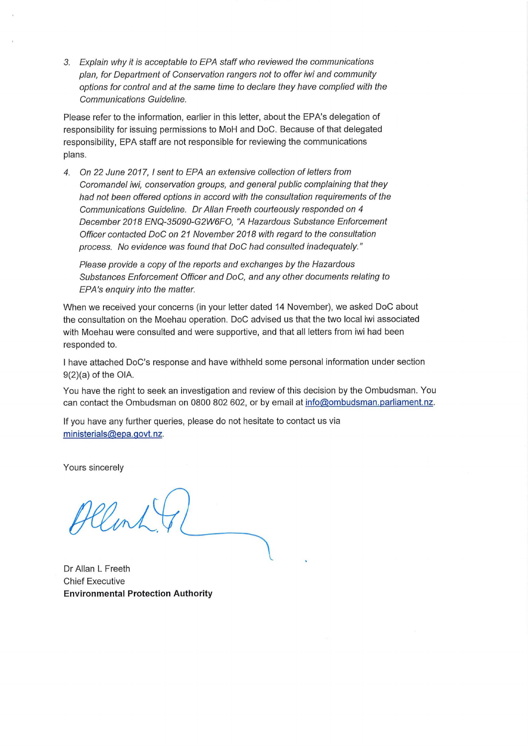3. Explain why it is acceptable to EPA staff who reviewed the communications plan, for Department of Conservation rangers not to offer iwi and community options for control and at the same time to declare they have complied with the Communications Guideline.

Please refer to the information, earlier in this letter, about the EPA's delegation of responsibility for issuing permissions to MoH and DoC. Because of that delegated responsibility, EPA staff are not responsible for reviewing the communications plans.

4. On 22 June 2017, 1 sent to EPA an extensive collection of letters from Coromandel iwi, conservation groups, and general public complaining that they had not been offered options in accord with the consultation requirements of the Communications Guideline. Dr Allan Freeth courteously responded on 4 December 2018 ENQ-35090-G2W6FO, "A Hazardous Substance Enforcement Officer contacted DoC on 21 November 2018 with regard to the consultation process. No evidence was found that DoC had consulted inadequately."

Please provide a copy of the reports and exchanges by the Hazardous Substances Enforcement Officer and DoC, and any other documents relating to EPA's enquiry into the matter.

When we received your concerns (in your letter dated 14 November), we asked DoC about the consultation on the Moehau operation. DoC advised us that the two local iwi associated with Moehau were consulted and were supportive, and that all letters from iwi had been responded to.

I have attached DoC's response and have withheld some personal information under section 9(2)(a) of the OIA.

You have the right to seek an investigation and review of this decision by the Ombudsman. You can contact the Ombudsman on 0800 802 602, or by email at info@ombudsman.parliament.nz.

If you have any further queries, please do not hesitate to contact us via ministerials@epa.govt.nz.

Yours sincerely

Allent

Dr Allan L Freeth Chief Executive **Environmental Protection Authority**